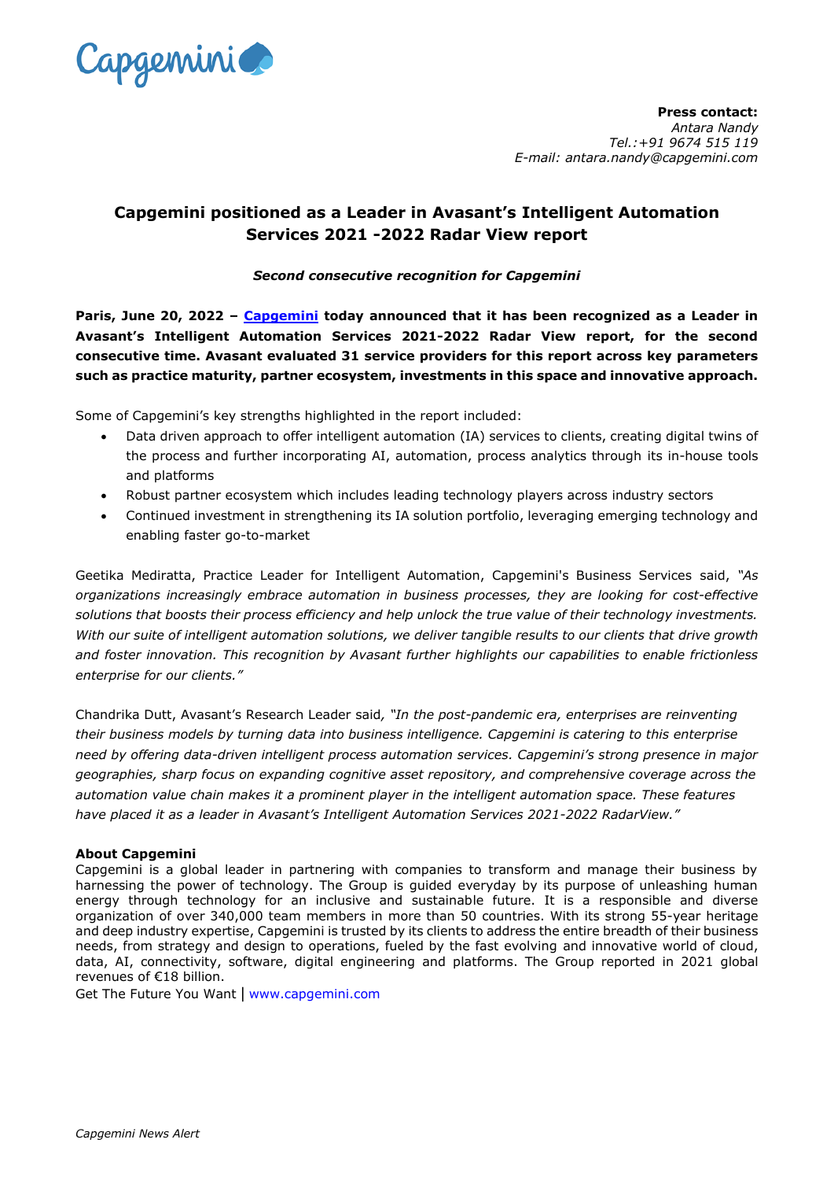

**Press contact:** *Antara Nandy Tel.:+91 9674 515 119 E-mail: antara.nandy@capgemini.com*

## **Capgemini positioned as a Leader in Avasant's Intelligent Automation Services 2021 -2022 Radar View report**

## *Second consecutive recognition for Capgemini*

**Paris, June 20, 2022 – [Capgemini](http://www.capgemini.com/) today announced that it has been recognized as a Leader in Avasant's Intelligent Automation Services 2021-2022 Radar View report, for the second consecutive time. Avasant evaluated 31 service providers for this report across key parameters such as practice maturity, partner ecosystem, investments in this space and innovative approach.** 

Some of Capgemini's key strengths highlighted in the report included:

- Data driven approach to offer intelligent automation (IA) services to clients, creating digital twins of the process and further incorporating AI, automation, process analytics through its in-house tools and platforms
- Robust partner ecosystem which includes leading technology players across industry sectors
- Continued investment in strengthening its IA solution portfolio, leveraging emerging technology and enabling faster go-to-market

Geetika Mediratta, Practice Leader for Intelligent Automation, Capgemini's Business Services said, *"As organizations increasingly embrace automation in business processes, they are looking for cost-effective solutions that boosts their process efficiency and help unlock the true value of their technology investments. With our suite of intelligent automation solutions, we deliver tangible results to our clients that drive growth and foster innovation. This recognition by Avasant further highlights our capabilities to enable frictionless enterprise for our clients."*

Chandrika Dutt, Avasant's Research Leader said*, "In the post-pandemic era, enterprises are reinventing their business models by turning data into business intelligence. Capgemini is catering to this enterprise need by offering data-driven intelligent process automation services. Capgemini's strong presence in major geographies, sharp focus on expanding cognitive asset repository, and comprehensive coverage across the automation value chain makes it a prominent player in the intelligent automation space. These features have placed it as a leader in Avasant's Intelligent Automation Services 2021-2022 RadarView."*

## **About Capgemini**

Capgemini is a global leader in partnering with companies to transform and manage their business by harnessing the power of technology. The Group is guided everyday by its purpose of unleashing human energy through technology for an inclusive and sustainable future. It is a responsible and diverse organization of over 340,000 team members in more than 50 countries. With its strong 55-year heritage and deep industry expertise, Capgemini is trusted by its clients to address the entire breadth of their business needs, from strategy and design to operations, fueled by the fast evolving and innovative world of cloud, data, AI, connectivity, software, digital engineering and platforms. The Group reported in 2021 global revenues of €18 billion.

Get The Future You Want | [www.capgemini.com](http://www.capgemini.com/#_blank)